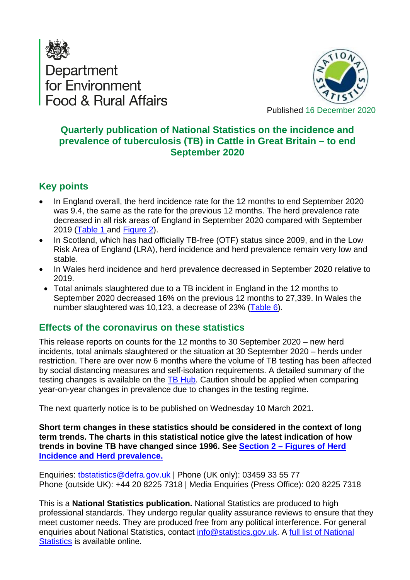



**Quarterly publication of National Statistics on the incidence and prevalence of tuberculosis (TB) in Cattle in Great Britain – to end September 2020**

## <span id="page-0-0"></span>**Key points**

- In England overall, the herd incidence rate for the 12 months to end September 2020 was 9.4, the same as the rate for the previous 12 months. The herd prevalence rate decreased in all risk areas of England in September 2020 compared with September 2019 [\(Table 1](#page-2-0) and [Figure 2\)](#page-7-0).
- In Scotland, which has had officially TB-free (OTF) status since 2009, and in the Low Risk Area of England (LRA), herd incidence and herd prevalence remain very low and stable.
- In Wales herd incidence and herd prevalence decreased in September 2020 relative to 2019.
- Total animals slaughtered due to a TB incident in England in the 12 months to September 2020 decreased 16% on the previous 12 months to 27,339. In Wales the number slaughtered was 10,123, a decrease of 23% [\(Table 6\)](#page-5-0).

## <span id="page-0-1"></span>**Effects of the coronavirus on these statistics**

This release reports on counts for the 12 months to 30 September 2020 – new herd incidents, total animals slaughtered or the situation at 30 September 2020 – herds under restriction. There are over now 6 months where the volume of TB testing has been affected by social distancing measures and self-isolation requirements. A detailed summary of the testing changes is available on the [TB Hub.](https://tbhub.co.uk/statutory-tb-testing-of-cattle-in-gb-during-the-covid-19-pandemic/) Caution should be applied when comparing year-on-year changes in prevalence due to changes in the testing regime.

The next quarterly notice is to be published on Wednesday 10 March 2021.

**Short term changes in these statistics should be considered in the context of long term trends. The charts in this statistical notice give the latest indication of how trends in bovine TB have changed since 1996. See Section 2 – [Figures of Herd](#page-6-0)  [Incidence and Herd prevalence.](#page-6-0)**

Enquiries: [tbstatistics@defra.gov.uk](mailto:tbstatistics@defra.gov.uk) | Phone (UK only): 03459 33 55 77 Phone (outside UK): +44 20 8225 7318 | Media Enquiries (Press Office): 020 8225 7318

This is a **National Statistics publication.** National Statistics are produced to high professional standards. They undergo regular quality assurance reviews to ensure that they meet customer needs. They are produced free from any political interference. For general enquiries about National Statistics, contact [info@statistics.gov.uk.](mailto:info@statistics.gov.uk) A [full list of National](https://www.gov.uk/search/research-and-statistics?content_store_document_type=statistics_published&order=updated-newest)  [Statistics](https://www.gov.uk/search/research-and-statistics?content_store_document_type=statistics_published&order=updated-newest) is available online.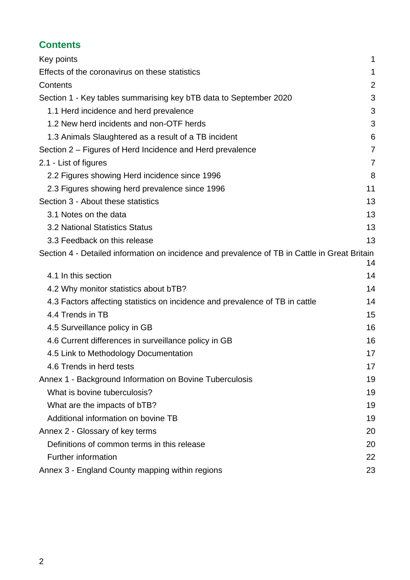## <span id="page-1-0"></span>**Contents**

| Key points                                                                                    | 1              |
|-----------------------------------------------------------------------------------------------|----------------|
| Effects of the coronavirus on these statistics                                                | 1              |
| Contents                                                                                      | $\overline{2}$ |
| Section 1 - Key tables summarising key bTB data to September 2020                             | 3              |
| 1.1 Herd incidence and herd prevalence                                                        | 3              |
| 1.2 New herd incidents and non-OTF herds                                                      | 3              |
| 1.3 Animals Slaughtered as a result of a TB incident                                          | 6              |
| Section 2 – Figures of Herd Incidence and Herd prevalence                                     | $\overline{7}$ |
| 2.1 - List of figures                                                                         | 7              |
| 2.2 Figures showing Herd incidence since 1996                                                 | 8              |
| 2.3 Figures showing herd prevalence since 1996                                                | 11             |
| Section 3 - About these statistics                                                            | 13             |
| 3.1 Notes on the data                                                                         | 13             |
| <b>3.2 National Statistics Status</b>                                                         | 13             |
| 3.3 Feedback on this release                                                                  | 13             |
| Section 4 - Detailed information on incidence and prevalence of TB in Cattle in Great Britain | 14             |
| 4.1 In this section                                                                           | 14             |
| 4.2 Why monitor statistics about bTB?                                                         | 14             |
| 4.3 Factors affecting statistics on incidence and prevalence of TB in cattle                  | 14             |
| 4.4 Trends in TB                                                                              | 15             |
| 4.5 Surveillance policy in GB                                                                 | 16             |
| 4.6 Current differences in surveillance policy in GB                                          | 16             |
| 4.5 Link to Methodology Documentation                                                         | 17             |
| 4.6 Trends in herd tests                                                                      | 17             |
| Annex 1 - Background Information on Bovine Tuberculosis                                       | 19             |
| What is bovine tuberculosis?                                                                  | 19             |
| What are the impacts of bTB?                                                                  | 19             |
| Additional information on bovine TB                                                           | 19             |
| Annex 2 - Glossary of key terms                                                               | 20             |
| Definitions of common terms in this release                                                   | 20             |
| <b>Further information</b>                                                                    | 22             |
| Annex 3 - England County mapping within regions                                               | 23             |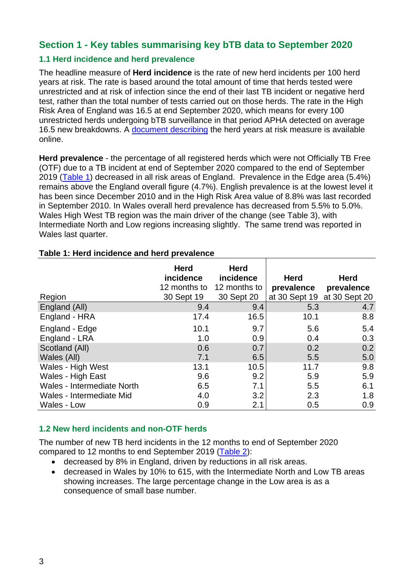## <span id="page-2-1"></span>**Section 1 - Key tables summarising key bTB data to September 2020**

#### <span id="page-2-2"></span>**1.1 Herd incidence and herd prevalence**

The headline measure of **Herd incidence** is the rate of new herd incidents per 100 herd years at risk. The rate is based around the total amount of time that herds tested were unrestricted and at risk of infection since the end of their last TB incident or negative herd test, rather than the total number of tests carried out on those herds. The rate in the High Risk Area of England was 16.5 at end September 2020, which means for every 100 unrestricted herds undergoing bTB surveillance in that period APHA detected on average 16.5 new breakdowns. A [document describing](http://www.gov.uk/government/statistics/data-and-methodology) the herd years at risk measure is available online.

**Herd prevalence** - the percentage of all registered herds which were not Officially TB Free (OTF) due to a TB incident at end of September 2020 compared to the end of September 2019 (Table 1) decreased in all risk areas of England. Prevalence in the Edge area (5.4%) remains above the England overall figure (4.7%). English prevalence is at the lowest level it has been since December 2010 and in the High Risk Area value of 8.8% was last recorded in September 2010. In Wales overall herd prevalence has decreased from 5.5% to 5.0%. Wales High West TB region was the main driver of the change (see Table 3), with Intermediate North and Low regions increasing slightly. The same trend was reported in Wales last quarter.

|                            | <b>Herd</b><br>incidence<br>12 months to | <b>Herd</b><br>incidence<br>12 months to | <b>Herd</b><br>prevalence | <b>Herd</b><br>prevalence   |
|----------------------------|------------------------------------------|------------------------------------------|---------------------------|-----------------------------|
| Region                     | 30 Sept 19                               | 30 Sept 20                               |                           | at 30 Sept 19 at 30 Sept 20 |
| England (All)              | 9.4                                      | 9.4                                      | 5.3                       | 4.7                         |
| England - HRA              | 17.4                                     | 16.5                                     | 10.1                      | 8.8                         |
| England - Edge             | 10.1                                     | 9.7                                      | 5.6                       | 5.4                         |
| England - LRA              | 1.0                                      | 0.9                                      | 0.4                       | 0.3                         |
| Scotland (All)             | 0.6                                      | 0.7                                      | 0.2                       | 0.2                         |
| Wales (All)                | 7.1                                      | 6.5                                      | 5.5                       | 5.0                         |
| Wales - High West          | 13.1                                     | 10.5                                     | 11.7                      | 9.8                         |
| Wales - High East          | 9.6                                      | 9.2                                      | 5.9                       | 5.9                         |
| Wales - Intermediate North | 6.5                                      | 7.1                                      | 5.5                       | 6.1                         |
| Wales - Intermediate Mid   | 4.0                                      | 3.2                                      | 2.3                       | 1.8                         |
| Wales - Low                | 0.9                                      | 2.1                                      | 0.5                       | 0.9                         |

#### <span id="page-2-0"></span>**Table 1: Herd incidence and herd prevalence**

#### <span id="page-2-3"></span>**1.2 New herd incidents and non-OTF herds**

The number of new TB herd incidents in the 12 months to end of September 2020 compared to 12 months to end September 2019 [\(Table 2\)](#page-3-0):

- decreased by 8% in England, driven by reductions in all risk areas.
- decreased in Wales by 10% to 615, with the Intermediate North and Low TB areas showing increases. The large percentage change in the Low area is as a consequence of small base number.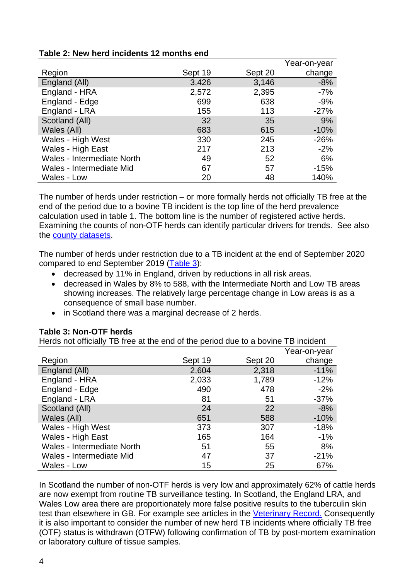<span id="page-3-0"></span>

| Table 2: New herd incidents 12 months end |  |
|-------------------------------------------|--|
|-------------------------------------------|--|

|                            |         |         | Year-on-year |
|----------------------------|---------|---------|--------------|
| Region                     | Sept 19 | Sept 20 | change       |
| England (All)              | 3,426   | 3,146   | $-8%$        |
| England - HRA              | 2,572   | 2,395   | $-7%$        |
| England - Edge             | 699     | 638     | $-9%$        |
| England - LRA              | 155     | 113     | $-27%$       |
| Scotland (All)             | 32      | 35      | 9%           |
| Wales (All)                | 683     | 615     | $-10%$       |
| Wales - High West          | 330     | 245     | $-26%$       |
| Wales - High East          | 217     | 213     | $-2%$        |
| Wales - Intermediate North | 49      | 52      | 6%           |
| Wales - Intermediate Mid   | 67      | 57      | $-15%$       |
| Wales - Low                | 20      | 48      | 140%         |

The number of herds under restriction – or more formally herds not officially TB free at the end of the period due to a bovine TB incident is the top line of the herd prevalence calculation used in table 1. The bottom line is the number of registered active herds. Examining the counts of non-OTF herds can identify particular drivers for trends. See also the [county datasets.](https://www.gov.uk/government/statistical-data-sets/tuberculosis-tb-in-cattle-in-great-britain)

The number of herds under restriction due to a TB incident at the end of September 2020 compared to end September 2019 [\(Table 3\)](#page-3-1):

- decreased by 11% in England, driven by reductions in all risk areas.
- decreased in Wales by 8% to 588, with the Intermediate North and Low TB areas showing increases. The relatively large percentage change in Low areas is as a consequence of small base number.
- in Scotland there was a marginal decrease of 2 herds.

#### <span id="page-3-1"></span>**Table 3: Non-OTF herds**

Herds not officially TB free at the end of the period due to a bovine TB incident

|                                   |         |         | Year-on-year |
|-----------------------------------|---------|---------|--------------|
| Region                            | Sept 19 | Sept 20 | change       |
| England (All)                     | 2,604   | 2,318   | $-11%$       |
| England - HRA                     | 2,033   | 1,789   | $-12%$       |
| England - Edge                    | 490     | 478     | $-2%$        |
| England - LRA                     | 81      | 51      | $-37%$       |
| Scotland (All)                    | 24      | 22      | $-8%$        |
| Wales (All)                       | 651     | 588     | $-10%$       |
| Wales - High West                 | 373     | 307     | $-18%$       |
| Wales - High East                 | 165     | 164     | $-1%$        |
| <b>Wales - Intermediate North</b> | 51      | 55      | 8%           |
| Wales - Intermediate Mid          | 47      | 37      | $-21%$       |
| Wales - Low                       | 15      | 25      | 67%          |

In Scotland the number of non-OTF herds is very low and approximately 62% of cattle herds are now exempt from routine TB surveillance testing. In Scotland, the England LRA, and Wales Low area there are proportionately more false positive results to the [tuberculin skin](#page-21-1)  [test](#page-21-1) than elsewhere in GB. For example see articles in the [Veterinary Record.](https://veterinaryrecord.bmj.com/content/177/10/258) Consequently it is also important to consider the number of new herd TB incidents where officially TB free (OTF) status is withdrawn [\(OTFW\)](#page-20-0) following confirmation of TB by post-mortem examination or laboratory culture of tissue samples.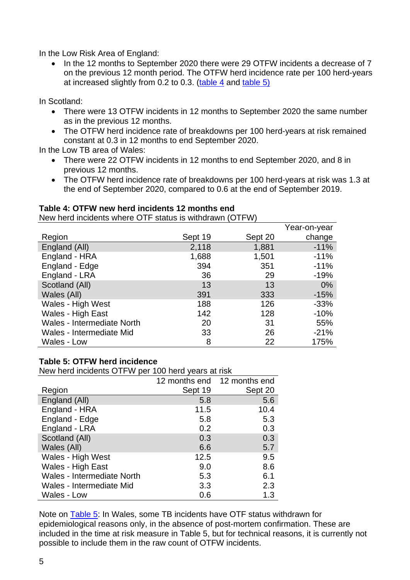In the Low Risk Area of England:

• In the 12 months to September 2020 there were 29 OTFW incidents a decrease of 7 on the previous 12 month period. The OTFW herd incidence rate per 100 herd-years at increased slightly from 0.2 to 0.3. [\(table 4](#page-4-0) and [table 5\)](#page-4-1)

In Scotland:

- There were 13 OTFW incidents in 12 months to September 2020 the same number as in the previous 12 months.
- The OTFW herd incidence rate of breakdowns per 100 herd-years at risk remained constant at 0.3 in 12 months to end September 2020.

In the Low TB area of Wales:

- There were 22 OTFW incidents in 12 months to end September 2020, and 8 in previous 12 months.
- The OTFW herd incidence rate of breakdowns per 100 herd-years at risk was 1.3 at the end of September 2020, compared to 0.6 at the end of September 2019.

#### <span id="page-4-0"></span>**Table 4: OTFW new herd incidents 12 months end**

New herd incidents where OTF status is withdrawn (OTFW)

|                            |         |         | Year-on-year |
|----------------------------|---------|---------|--------------|
| Region                     | Sept 19 | Sept 20 | change       |
| England (All)              | 2,118   | 1,881   | $-11%$       |
| England - HRA              | 1,688   | 1,501   | $-11%$       |
| England - Edge             | 394     | 351     | $-11%$       |
| England - LRA              | 36      | 29      | $-19%$       |
| Scotland (All)             | 13      | 13      | $0\%$        |
| Wales (All)                | 391     | 333     | $-15%$       |
| Wales - High West          | 188     | 126     | $-33%$       |
| Wales - High East          | 142     | 128     | $-10%$       |
| Wales - Intermediate North | 20      | 31      | 55%          |
| Wales - Intermediate Mid   | 33      | 26      | $-21%$       |
| Wales - Low                | 8       | 22      | 175%         |

#### <span id="page-4-1"></span>**Table 5: OTFW herd incidence**

New herd incidents OTFW per 100 herd years at risk

|                                   |         | 12 months end 12 months end |
|-----------------------------------|---------|-----------------------------|
|                                   |         |                             |
| Region                            | Sept 19 | Sept 20                     |
| England (All)                     | 5.8     | 5.6                         |
| England - HRA                     | 11.5    | 10.4                        |
| England - Edge                    | 5.8     | 5.3                         |
| England - LRA                     | 0.2     | 0.3                         |
| Scotland (All)                    | 0.3     | 0.3                         |
| Wales (All)                       | 6.6     | 5.7                         |
| Wales - High West                 | 12.5    | 9.5                         |
| Wales - High East                 | 9.0     | 8.6                         |
| <b>Wales - Intermediate North</b> | 5.3     | 6.1                         |
| Wales - Intermediate Mid          | 3.3     | 2.3                         |
| Wales - Low                       | 0.6     | 1.3                         |

Note on **Table 5:** In Wales, some TB incidents have OTF status withdrawn for epidemiological reasons only, in the absence of post-mortem confirmation. These are included in the time at risk measure in Table 5, but for technical reasons, it is currently not possible to include them in the raw count of OTFW incidents.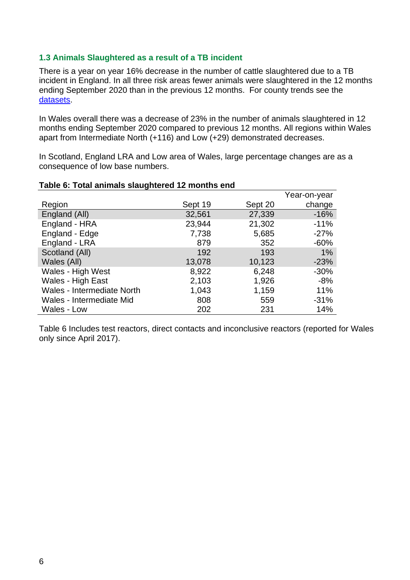#### <span id="page-5-1"></span>**1.3 Animals Slaughtered as a result of a TB incident**

There is a year on year 16% decrease in the number of cattle slaughtered due to a TB incident in England. In all three risk areas fewer animals were slaughtered in the 12 months ending September 2020 than in the previous 12 months. For county trends see the [datasets.](https://www.gov.uk/government/statistical-data-sets/tuberculosis-tb-in-cattle-in-great-britain)

In Wales overall there was a decrease of 23% in the number of animals slaughtered in 12 months ending September 2020 compared to previous 12 months. All regions within Wales apart from Intermediate North (+116) and Low (+29) demonstrated decreases.

In Scotland, England LRA and Low area of Wales, large percentage changes are as a consequence of low base numbers.

|                            |         |         | Year-on-year |
|----------------------------|---------|---------|--------------|
| Region                     | Sept 19 | Sept 20 | change       |
| England (All)              | 32,561  | 27,339  | $-16%$       |
| England - HRA              | 23,944  | 21,302  | $-11%$       |
| England - Edge             | 7,738   | 5,685   | $-27%$       |
| England - LRA              | 879     | 352     | $-60%$       |
| Scotland (All)             | 192     | 193     | $1\%$        |
| Wales (All)                | 13,078  | 10,123  | $-23%$       |
| Wales - High West          | 8,922   | 6,248   | $-30%$       |
| Wales - High East          | 2,103   | 1,926   | $-8%$        |
| Wales - Intermediate North | 1,043   | 1,159   | 11%          |
| Wales - Intermediate Mid   | 808     | 559     | $-31%$       |
| Wales - Low                | 202     | 231     | 14%          |
|                            |         |         |              |

#### <span id="page-5-0"></span>**Table 6: Total animals slaughtered 12 months end**

<span id="page-5-2"></span>Table 6 Includes test reactors, direct contacts and inconclusive reactors (reported for Wales only since April 2017).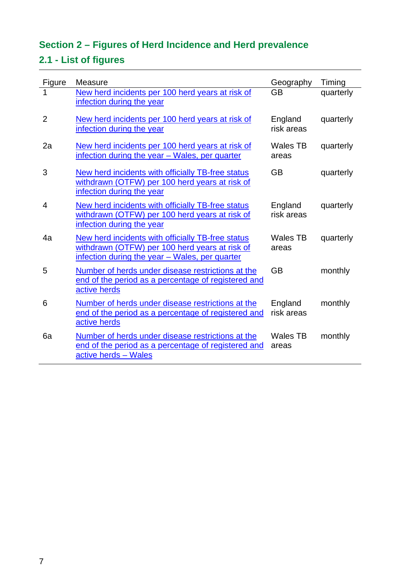# <span id="page-6-0"></span>**Section 2 – Figures of Herd Incidence and Herd prevalence**

# <span id="page-6-1"></span>**2.1 - List of figures**

| Figure         | Measure                                                                                                                                               | Geography                | Timing    |
|----------------|-------------------------------------------------------------------------------------------------------------------------------------------------------|--------------------------|-----------|
| 1              | New herd incidents per 100 herd years at risk of<br>infection during the year                                                                         | <b>GB</b>                | quarterly |
| $\overline{2}$ | New herd incidents per 100 herd years at risk of<br>infection during the year                                                                         | England<br>risk areas    | quarterly |
| 2a             | New herd incidents per 100 herd years at risk of<br>infection during the year - Wales, per quarter                                                    | <b>Wales TB</b><br>areas | quarterly |
| 3              | New herd incidents with officially TB-free status<br>withdrawn (OTFW) per 100 herd years at risk of<br>infection during the year                      | <b>GB</b>                | quarterly |
| 4              | New herd incidents with officially TB-free status<br>withdrawn (OTFW) per 100 herd years at risk of<br>infection during the year                      | England<br>risk areas    | quarterly |
| 4a             | New herd incidents with officially TB-free status<br>withdrawn (OTFW) per 100 herd years at risk of<br>infection during the year - Wales, per quarter | Wales TB<br>areas        | quarterly |
| 5              | Number of herds under disease restrictions at the<br>end of the period as a percentage of registered and<br>active herds                              | <b>GB</b>                | monthly   |
| 6              | Number of herds under disease restrictions at the<br>end of the period as a percentage of registered and<br>active herds                              | England<br>risk areas    | monthly   |
| 6a             | Number of herds under disease restrictions at the<br>end of the period as a percentage of registered and<br>active herds - Wales                      | Wales TB<br>areas        | monthly   |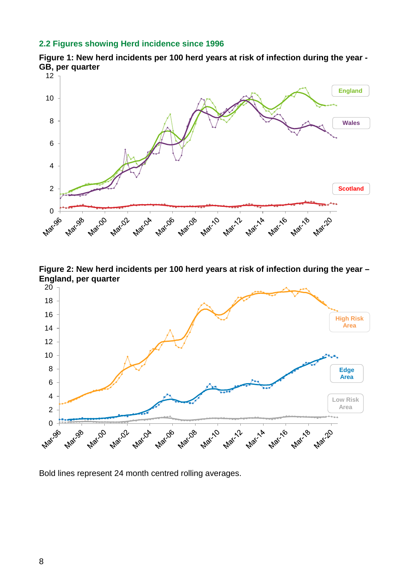#### <span id="page-7-1"></span>**2.2 Figures showing Herd incidence since 1996**

<span id="page-7-2"></span>



<span id="page-7-0"></span>**Figure 2: New herd incidents per 100 herd years at risk of infection during the year – England, per quarter**



Bold lines represent 24 month centred rolling averages.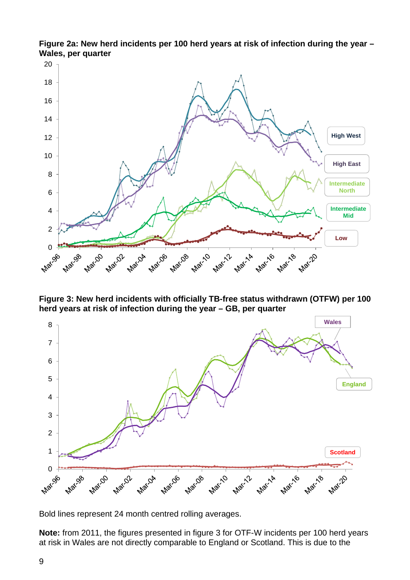

<span id="page-8-0"></span>**Figure 2a: New herd incidents per 100 herd years at risk of infection during the year – Wales, per quarter**

<span id="page-8-1"></span>**Figure 3: New herd incidents with officially TB-free status withdrawn (OTFW) per 100 herd years at risk of infection during the year – GB, per quarter**



Bold lines represent 24 month centred rolling averages.

**Note:** from 2011, the figures presented in figure 3 for OTF-W incidents per 100 herd years at risk in Wales are not directly comparable to England or Scotland. This is due to the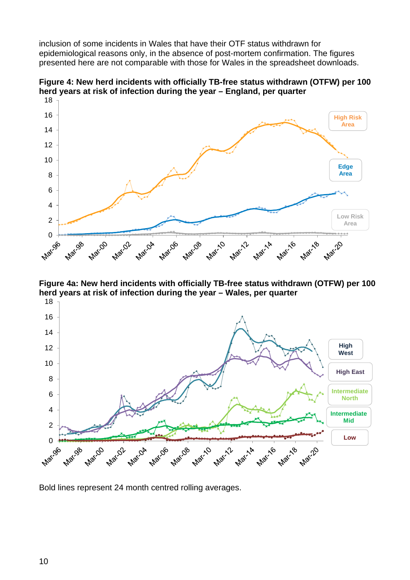inclusion of some incidents in Wales that have their OTF status withdrawn for epidemiological reasons only, in the absence of post-mortem confirmation. The figures presented here are not comparable with those for Wales in the spreadsheet downloads.



<span id="page-9-0"></span>**Figure 4: New herd incidents with officially TB-free status withdrawn (OTFW) per 100 herd years at risk of infection during the year – England, per quarter**

<span id="page-9-1"></span>**Figure 4a: New herd incidents with officially TB-free status withdrawn (OTFW) per 100 herd years at risk of infection during the year – Wales, per quarter**



Bold lines represent 24 month centred rolling averages.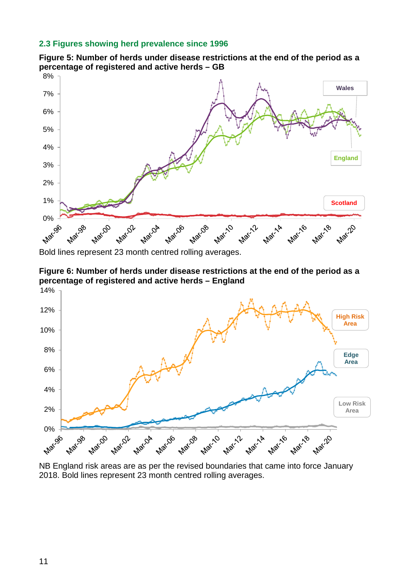#### <span id="page-10-0"></span>**2.3 Figures showing herd prevalence since 1996**



<span id="page-10-1"></span>**Figure 5: Number of herds under disease restrictions at the end of the period as a percentage of registered and active herds – GB**

Bold lines represent 23 month centred rolling averages.

<span id="page-10-2"></span>



NB England risk areas are as per the revised boundaries that came into force January 2018. Bold lines represent 23 month centred rolling averages.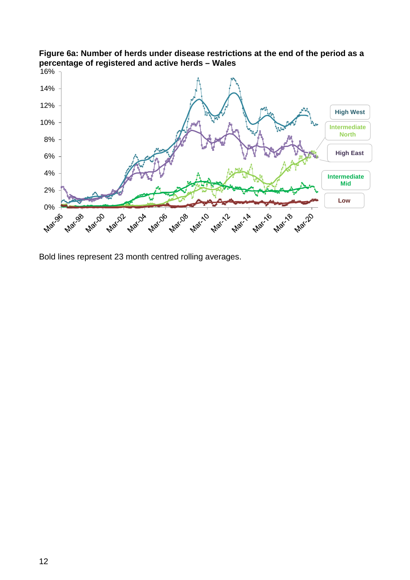

## <span id="page-11-0"></span>**Figure 6a: Number of herds under disease restrictions at the end of the period as a percentage of registered and active herds – Wales**

Bold lines represent 23 month centred rolling averages.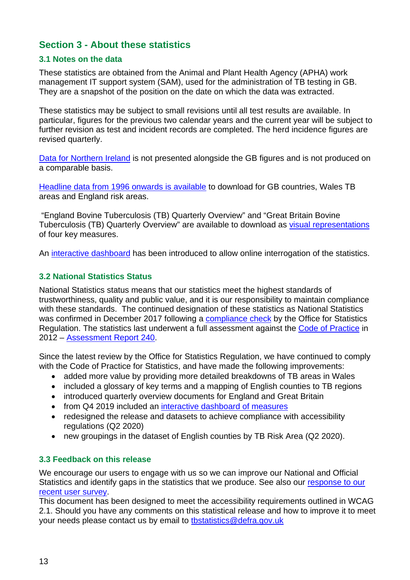## <span id="page-12-0"></span>**Section 3 - About these statistics**

### <span id="page-12-1"></span>**3.1 Notes on the data**

These statistics are obtained from the Animal and Plant Health Agency (APHA) work management IT support system (SAM), used for the administration of TB testing in GB. They are a snapshot of the position on the date on which the data was extracted.

These statistics may be subject to small revisions until all test results are available. In particular, figures for the previous two calendar years and the current year will be subject to further revision as test and incident records are completed. The herd incidence figures are revised quarterly.

[Data for Northern Ireland](http://www.daera-ni.gov.uk/articles/tuberculosis-statistics-northern-ireland) is not presented alongside the GB figures and is not produced on a comparable basis.

[Headline data from 1996 onwards is available](http://www.gov.uk/government/statistical-data-sets/tuberculosis-tb-in-cattle-in-great-britain) to download for GB countries, Wales TB areas and England risk areas.

"England Bovine Tuberculosis (TB) Quarterly Overview" and "Great Britain Bovine Tuberculosis (TB) Quarterly Overview" are available to download as [visual representations](http://www.gov.uk/government/statistics/incidence-of-tuberculosis-tb-in-cattle-in-great-britain) of four key measures.

An [interactive dashboard](http://3.9.48.73/bTB/) has been introduced to allow online interrogation of the statistics.

### <span id="page-12-2"></span>**3.2 National Statistics Status**

National Statistics status means that our statistics meet the highest standards of trustworthiness, quality and public value, and it is our responsibility to maintain compliance with these standards. The continued designation of these statistics as National Statistics was confirmed in December 2017 following a [compliance check](https://www.statisticsauthority.gov.uk/correspondence/statistics-on-tuberculosis-in-cattle-in-great-britain/) by the Office for Statistics Regulation. The statistics last underwent a full assessment against the [Code of Practice](https://www.statisticsauthority.gov.uk/code-of-practice/) in 2012 – [Assessment Report 240.](https://www.statisticsauthority.gov.uk/publication/statistics-on-tuberculosis-in-cattle-bovine-tb/)

Since the latest review by the Office for Statistics Regulation, we have continued to comply with the Code of Practice for Statistics, and have made the following improvements:

- added more value by providing more detailed breakdowns of TB areas in Wales
- included a glossary of key terms and a mapping of English counties to TB regions
- introduced quarterly overview documents for England and Great Britain
- from Q4 2019 included an [interactive dashboard of measures](http://3.9.48.73/bTB/)
- redesigned the release and datasets to achieve compliance with accessibility regulations (Q2 2020)
- new groupings in the dataset of English counties by TB Risk Area (Q2 2020).

#### <span id="page-12-3"></span>**3.3 Feedback on this release**

We encourage our users to engage with us so we can improve our National and Official Statistics and identify gaps in the statistics that we produce. See also our [response to our](https://www.gov.uk/government/publications/bovine-tb-in-great-britain-statistics-user-survey-2020-responses)  [recent user survey.](https://www.gov.uk/government/publications/bovine-tb-in-great-britain-statistics-user-survey-2020-responses)

This document has been designed to meet the accessibility requirements outlined in WCAG 2.1. Should you have any comments on this statistical release and how to improve it to meet your needs please contact us by email to [tbstatistics@defra.gov.uk](mailto:tbstatistics@defra.gov.uk)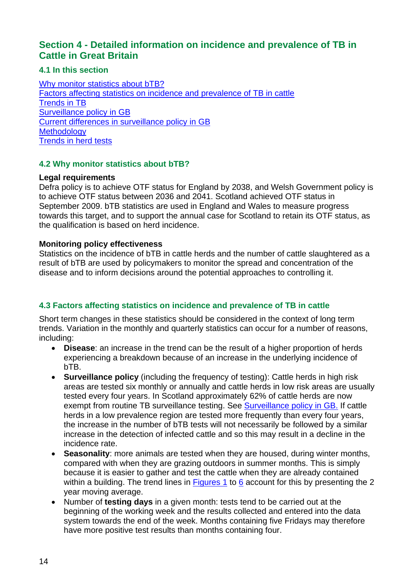## <span id="page-13-0"></span>**Section 4 - Detailed information on incidence and prevalence of TB in Cattle in Great Britain**

### <span id="page-13-1"></span>**4.1 In this section**

Why monitor statistics about **bTB?** [Factors affecting statistics on incidence and prevalence of TB in cattle](#page-13-3) [Trends in TB](#page-14-0) [Surveillance policy in GB](#page-15-0) [Current differences in surveillance policy in GB](#page-15-1) **[Methodology](#page-16-0)** [Trends in herd tests](#page-16-1)

### <span id="page-13-2"></span>**4.2 Why monitor statistics about bTB?**

#### **Legal requirements**

Defra policy is to achieve OTF status for England by 2038, and Welsh Government policy is to achieve OTF status between 2036 and 2041. Scotland achieved OTF status in September 2009. bTB statistics are used in England and Wales to measure progress towards this target, and to support the annual case for Scotland to retain its OTF status, as the qualification is based on herd incidence.

#### **Monitoring policy effectiveness**

Statistics on the incidence of bTB in cattle herds and the number of cattle slaughtered as a result of bTB are used by policymakers to monitor the spread and concentration of the disease and to inform decisions around the potential approaches to controlling it.

## <span id="page-13-3"></span>**4.3 Factors affecting statistics on incidence and prevalence of TB in cattle**

Short term changes in these statistics should be considered in the context of long term trends. Variation in the monthly and quarterly statistics can occur for a number of reasons, including:

- **Disease**: an increase in the trend can be the result of a higher proportion of herds experiencing a breakdown because of an increase in the underlying incidence of bTB.
- **Surveillance policy** (including the frequency of testing): Cattle herds in high risk areas are tested six monthly or annually and cattle herds in low risk areas are usually tested every four years. In Scotland approximately 62% of cattle herds are now exempt from routine TB surveillance testing. See [Surveillance policy in GB.](#page-15-0) If cattle herds in a low prevalence region are tested more frequently than every four years. the increase in the number of bTB tests will not necessarily be followed by a similar increase in the detection of infected cattle and so this may result in a decline in the incidence rate.
- **Seasonality**: more animals are tested when they are housed, during winter months, compared with when they are grazing outdoors in summer months. This is simply because it is easier to gather and test the cattle when they are already contained within a building. The trend lines in [Figures 1](#page-7-2) to [6](#page-10-2) account for this by presenting the 2 year moving average.
- Number of **testing days** in a given month: tests tend to be carried out at the beginning of the working week and the results collected and entered into the data system towards the end of the week. Months containing five Fridays may therefore have more positive test results than months containing four.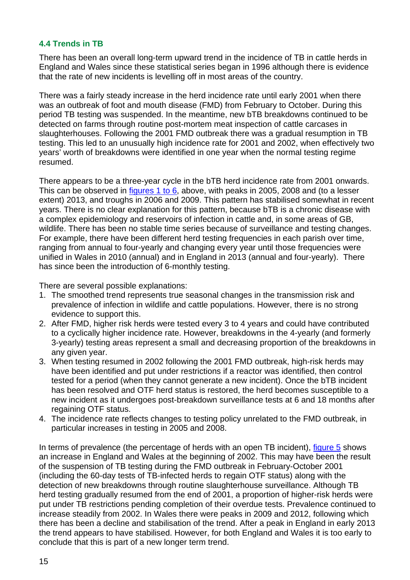#### <span id="page-14-0"></span>**4.4 Trends in TB**

There has been an overall long-term upward trend in the incidence of TB in cattle herds in England and Wales since these statistical series began in 1996 although there is evidence that the rate of new incidents is levelling off in most areas of the country.

There was a fairly steady increase in the herd incidence rate until early 2001 when there was an outbreak of foot and mouth disease (FMD) from February to October. During this period TB testing was suspended. In the meantime, new bTB breakdowns continued to be detected on farms through routine post-mortem meat inspection of cattle carcases in slaughterhouses. Following the 2001 FMD outbreak there was a gradual resumption in TB testing. This led to an unusually high incidence rate for 2001 and 2002, when effectively two years' worth of breakdowns were identified in one year when the normal testing regime resumed.

There appears to be a three-year cycle in the bTB herd incidence rate from 2001 onwards. This can be observed in [figures 1 to 6,](#page-5-2) above, with peaks in 2005, 2008 and (to a lesser extent) 2013, and troughs in 2006 and 2009. This pattern has stabilised somewhat in recent years. There is no clear explanation for this pattern, because bTB is a chronic disease with a complex epidemiology and reservoirs of infection in cattle and, in some areas of GB, wildlife. There has been no stable time series because of surveillance and testing changes. For example, there have been different herd testing frequencies in each parish over time, ranging from annual to four-yearly and changing every year until those frequencies were unified in Wales in 2010 (annual) and in England in 2013 (annual and four-yearly). There has since been the introduction of 6-monthly testing.

There are several possible explanations:

- 1. The smoothed trend represents true seasonal changes in the transmission risk and prevalence of infection in wildlife and cattle populations. However, there is no strong evidence to support this.
- 2. After FMD, higher risk herds were tested every 3 to 4 years and could have contributed to a cyclically higher incidence rate. However, breakdowns in the 4-yearly (and formerly 3-yearly) testing areas represent a small and decreasing proportion of the breakdowns in any given year.
- 3. When testing resumed in 2002 following the 2001 FMD outbreak, high-risk herds may have been identified and put under restrictions if a reactor was identified, then control tested for a period (when they cannot generate a new incident). Once the bTB incident has been resolved and OTF herd status is restored, the herd becomes susceptible to a new incident as it undergoes post-breakdown surveillance tests at 6 and 18 months after regaining OTF status.
- 4. The incidence rate reflects changes to testing policy unrelated to the FMD outbreak, in particular increases in testing in 2005 and 2008.

In terms of prevalence (the percentage of herds with an open TB incident), [figure 5](#page-10-1) shows an increase in England and Wales at the beginning of 2002. This may have been the result of the suspension of TB testing during the FMD outbreak in February-October 2001 (including the 60-day tests of TB-infected herds to regain OTF status) along with the detection of new breakdowns through routine slaughterhouse surveillance. Although TB herd testing gradually resumed from the end of 2001, a proportion of higher-risk herds were put under TB restrictions pending completion of their overdue tests. Prevalence continued to increase steadily from 2002. In Wales there were peaks in 2009 and 2012, following which there has been a decline and stabilisation of the trend. After a peak in England in early 2013 the trend appears to have stabilised. However, for both England and Wales it is too early to conclude that this is part of a new longer term trend.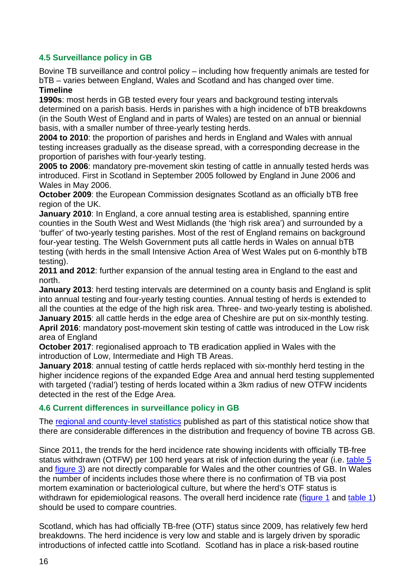#### <span id="page-15-0"></span>**4.5 Surveillance policy in GB**

Bovine TB surveillance and control policy – including how frequently animals are tested for bTB – varies between England, Wales and Scotland and has changed over time.

#### **Timeline**

**1990s**: most herds in GB tested every four years and background testing intervals determined on a parish basis. Herds in parishes with a high incidence of bTB breakdowns (in the South West of England and in parts of Wales) are tested on an annual or biennial basis, with a smaller number of three-yearly testing herds.

**2004 to 2010**: the proportion of parishes and herds in England and Wales with annual testing increases gradually as the disease spread, with a corresponding decrease in the proportion of parishes with four-yearly testing.

**2005 to 2006**: mandatory pre-movement skin testing of cattle in annually tested herds was introduced. First in Scotland in September 2005 followed by England in June 2006 and Wales in May 2006.

**October 2009:** the European Commission designates Scotland as an officially bTB free region of the UK.

**January 2010**: In England, a core annual testing area is established, spanning entire counties in the South West and West Midlands (the 'high risk area') and surrounded by a 'buffer' of two-yearly testing parishes. Most of the rest of England remains on background four-year testing. The Welsh Government puts all cattle herds in Wales on annual bTB testing (with herds in the small Intensive Action Area of West Wales put on 6-monthly bTB testing).

**2011 and 2012**: further expansion of the annual testing area in England to the east and north.

**January 2013**: herd testing intervals are determined on a county basis and England is split into annual testing and four-yearly testing counties. Annual testing of herds is extended to all the counties at the edge of the high risk area. Three- and two-yearly testing is abolished. **January 2015:** all cattle herds in the edge area of Cheshire are put on six-monthly testing. **April 2016**: mandatory post-movement skin testing of cattle was introduced in the Low risk

#### area of England

**October 2017**: regionalised approach to TB eradication applied in Wales with the introduction of Low, Intermediate and High TB Areas.

**January 2018**: annual testing of cattle herds replaced with six-monthly herd testing in the higher incidence regions of the expanded Edge Area and annual herd testing supplemented with targeted ('radial') testing of herds located within a 3km radius of new OTFW incidents detected in the rest of the Edge Area.

#### <span id="page-15-1"></span>**4.6 Current differences in surveillance policy in GB**

The [regional and county-level statistics](http://www.gov.uk/government/statistical-data-sets/tuberculosis-tb-in-cattle-in-great-britain) published as part of this statistical notice show that there are considerable differences in the distribution and frequency of bovine TB across GB.

Since 2011, the trends for the herd incidence rate showing incidents with officially TB-free status withdrawn (OTFW) per 100 herd years at risk of infection during the year (i.e. [table 5](#page-4-1) and [figure 3\)](#page-8-1) are not directly comparable for Wales and the other countries of GB. In Wales the number of incidents includes those where there is no confirmation of TB via post mortem examination or bacteriological culture, but where the herd's OTF status is withdrawn for epidemiological reasons. The overall herd incidence rate [\(figure 1](#page-7-2) and [table 1\)](#page-2-0) should be used to compare countries.

Scotland, which has had officially TB-free (OTF) status since 2009, has relatively few herd breakdowns. The herd incidence is very low and stable and is largely driven by sporadic introductions of infected cattle into Scotland. Scotland has in place a risk-based routine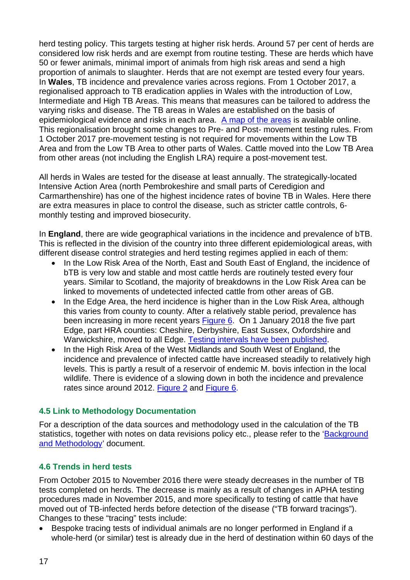herd testing policy. This targets testing at higher risk herds. Around 57 per cent of herds are considered low risk herds and are exempt from routine testing. These are herds which have 50 or fewer animals, minimal import of animals from high risk areas and send a high proportion of animals to slaughter. Herds that are not exempt are tested every four years. In **Wales**, TB incidence and prevalence varies across regions. From 1 October 2017, a regionalised approach to TB eradication applies in Wales with the introduction of Low, Intermediate and High TB Areas. This means that measures can be tailored to address the varying risks and disease. The TB areas in Wales are established on the basis of epidemiological evidence and risks in each area. [A map of the areas](https://gov.wales/bovine-tb-incidence-map) is available online. This regionalisation brought some changes to Pre- and Post- movement testing rules. From 1 October 2017 pre-movement testing is not required for movements within the Low TB Area and from the Low TB Area to other parts of Wales. Cattle moved into the Low TB Area from other areas (not including the English LRA) require a post-movement test.

All herds in Wales are tested for the disease at least annually. The strategically-located Intensive Action Area (north Pembrokeshire and small parts of Ceredigion and Carmarthenshire) has one of the highest incidence rates of bovine TB in Wales. Here there are extra measures in place to control the disease, such as stricter cattle controls, 6 monthly testing and improved biosecurity.

In **England**, there are wide geographical variations in the incidence and prevalence of bTB. This is reflected in the division of the country into three different epidemiological areas, with different disease control strategies and herd testing regimes applied in each of them:

- In the Low Risk Area of the North, East and South East of England, the incidence of bTB is very low and stable and most cattle herds are routinely tested every four years. Similar to Scotland, the majority of breakdowns in the Low Risk Area can be linked to movements of undetected infected cattle from other areas of GB.
- In the Edge Area, the herd incidence is higher than in the Low Risk Area, although this varies from county to county. After a relatively stable period, prevalence has been increasing in more recent years [Figure 6.](#page-10-2) On 1 January 2018 the five part Edge, part HRA counties: Cheshire, Derbyshire, East Sussex, Oxfordshire and Warwickshire, moved to all Edge. [Testing intervals have been published.](https://www.gov.uk/guidance/bovine-tb-testing-intervals-2019.)
- In the High Risk Area of the West Midlands and South West of England, the incidence and prevalence of infected cattle have increased steadily to relatively high levels. This is partly a result of a reservoir of endemic M. bovis infection in the local wildlife. There is evidence of a slowing down in both the incidence and prevalence rates since around 2012. [Figure 2](#page-7-0) and [Figure 6.](#page-10-2)

#### <span id="page-16-0"></span>**4.5 Link to Methodology Documentation**

For a description of the data sources and methodology used in the calculation of the TB statistics, together with notes on data revisions policy etc., please refer to the ['Background](http://www.gov.uk/government/statistics/data-and-methodology)  [and Methodology'](http://www.gov.uk/government/statistics/data-and-methodology) document.

## <span id="page-16-1"></span>**4.6 Trends in herd tests**

From October 2015 to November 2016 there were steady decreases in the number of TB tests completed on herds. The decrease is mainly as a result of changes in APHA testing procedures made in November 2015, and more specifically to testing of cattle that have moved out of TB-infected herds before detection of the disease ("TB forward tracings"). Changes to these "tracing" tests include:

• Bespoke tracing tests of individual animals are no longer performed in England if a whole-herd (or similar) test is already due in the herd of destination within 60 days of the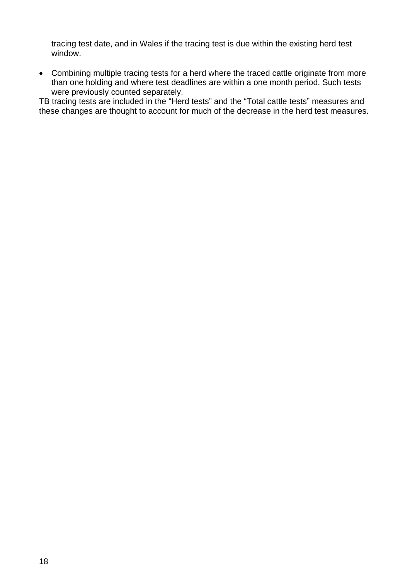tracing test date, and in Wales if the tracing test is due within the existing herd test window.

• Combining multiple tracing tests for a herd where the traced cattle originate from more than one holding and where test deadlines are within a one month period. Such tests were previously counted separately.

<span id="page-17-0"></span>TB tracing tests are included in the "Herd tests" and the "Total cattle tests" measures and these changes are thought to account for much of the decrease in the herd test measures.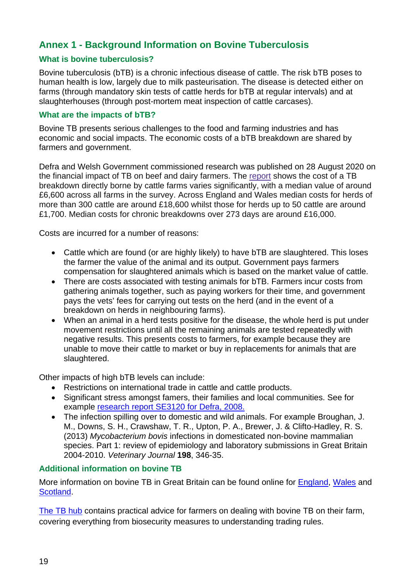## <span id="page-18-0"></span>**Annex 1 - Background Information on Bovine Tuberculosis**

#### <span id="page-18-1"></span>**What is bovine tuberculosis?**

Bovine tuberculosis (bTB) is a chronic infectious disease of cattle. The risk bTB poses to human health is low, largely due to milk pasteurisation. The disease is detected either on farms (through mandatory skin tests of cattle herds for bTB at regular intervals) and at slaughterhouses (through post-mortem meat inspection of cattle carcases).

#### <span id="page-18-2"></span>**What are the impacts of bTB?**

Bovine TB presents serious challenges to the food and farming industries and has economic and social impacts. The economic costs of a bTB breakdown are shared by farmers and government.

Defra and Welsh Government commissioned research was published on 28 August 2020 on the financial impact of TB on beef and dairy farmers. The [report](http://randd.defra.gov.uk/Default.aspx?Menu=Menu&Module=More&Location=None&ProjectID=19957&FromSearch=Y&Publisher=1&SearchText=se3139&SortString=ProjectCode&SortOrder=Asc&Paging=10#Description) shows the cost of a TB breakdown directly borne by cattle farms varies significantly, with a median value of around £6,600 across all farms in the survey. Across England and Wales median costs for herds of more than 300 cattle are around £18,600 whilst those for herds up to 50 cattle are around £1,700. Median costs for chronic breakdowns over 273 days are around £16,000.

Costs are incurred for a number of reasons:

- Cattle which are found (or are highly likely) to have bTB are slaughtered. This loses the farmer the value of the animal and its output. Government pays farmers compensation for slaughtered animals which is based on the market value of cattle.
- There are costs associated with testing animals for bTB. Farmers incur costs from gathering animals together, such as paying workers for their time, and government pays the vets' fees for carrying out tests on the herd (and in the event of a breakdown on herds in neighbouring farms).
- When an animal in a herd tests positive for the disease, the whole herd is put under movement restrictions until all the remaining animals are tested repeatedly with negative results. This presents costs to farmers, for example because they are unable to move their cattle to market or buy in replacements for animals that are slaughtered.

Other impacts of high bTB levels can include:

- Restrictions on international trade in cattle and cattle products.
- Significant stress amongst famers, their families and local communities. See for example [research report SE3120 for Defra, 2008.](http://randd.defra.gov.uk/Default.aspx?Menu=Menu&Module=More&Location=None&Completed=0&ProjectID=15201)
- The infection spilling over to domestic and wild animals. For example Broughan, J. M., Downs, S. H., Crawshaw, T. R., Upton, P. A., Brewer, J. & Clifto-Hadley, R. S. (2013) *Mycobacterium bovis* infections in domesticated non-bovine mammalian species. Part 1: review of epidemiology and laboratory submissions in Great Britain 2004-2010. *Veterinary Journal* **198**, 346-35.

#### <span id="page-18-3"></span>**Additional information on bovine TB**

More information on bovine TB in Great Britain can be found online for [England,](https://www.gov.uk/government/policies/bovine-tuberculosis-bovine-tb) [Wales](https://gov.wales/bovine-tb) and [Scotland.](http://www.gov.scot/Topics/farmingrural/Agriculture/animal-welfare/Diseases/disease/tuberculosis)

[The TB hub](http://www.tbhub.co.uk/) contains practical advice for farmers on dealing with bovine TB on their farm, covering everything from biosecurity measures to understanding trading rules.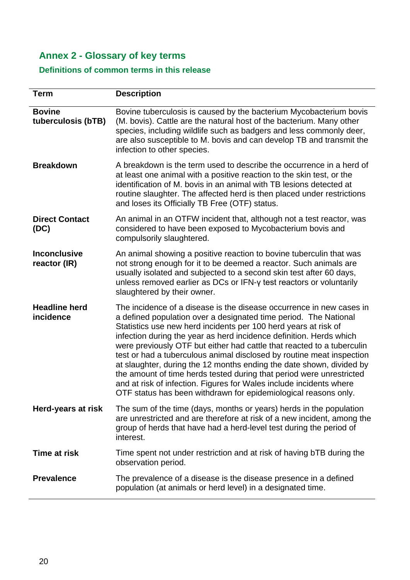# <span id="page-19-0"></span>**Annex 2 - Glossary of key terms**

## <span id="page-19-1"></span>**Definitions of common terms in this release**

| <b>Term</b>                         | <b>Description</b>                                                                                                                                                                                                                                                                                                                                                                                                                                                                                                                                                                                                                                                                                                              |
|-------------------------------------|---------------------------------------------------------------------------------------------------------------------------------------------------------------------------------------------------------------------------------------------------------------------------------------------------------------------------------------------------------------------------------------------------------------------------------------------------------------------------------------------------------------------------------------------------------------------------------------------------------------------------------------------------------------------------------------------------------------------------------|
| <b>Bovine</b><br>tuberculosis (bTB) | Bovine tuberculosis is caused by the bacterium Mycobacterium bovis<br>(M. bovis). Cattle are the natural host of the bacterium. Many other<br>species, including wildlife such as badgers and less commonly deer,<br>are also susceptible to M. bovis and can develop TB and transmit the<br>infection to other species.                                                                                                                                                                                                                                                                                                                                                                                                        |
| <b>Breakdown</b>                    | A breakdown is the term used to describe the occurrence in a herd of<br>at least one animal with a positive reaction to the skin test, or the<br>identification of M. bovis in an animal with TB lesions detected at<br>routine slaughter. The affected herd is then placed under restrictions<br>and loses its Officially TB Free (OTF) status.                                                                                                                                                                                                                                                                                                                                                                                |
| <b>Direct Contact</b><br>(DC)       | An animal in an OTFW incident that, although not a test reactor, was<br>considered to have been exposed to Mycobacterium bovis and<br>compulsorily slaughtered.                                                                                                                                                                                                                                                                                                                                                                                                                                                                                                                                                                 |
| <b>Inconclusive</b><br>reactor (IR) | An animal showing a positive reaction to bovine tuberculin that was<br>not strong enough for it to be deemed a reactor. Such animals are<br>usually isolated and subjected to a second skin test after 60 days,<br>unless removed earlier as DCs or IFN-y test reactors or voluntarily<br>slaughtered by their owner.                                                                                                                                                                                                                                                                                                                                                                                                           |
| <b>Headline herd</b><br>incidence   | The incidence of a disease is the disease occurrence in new cases in<br>a defined population over a designated time period. The National<br>Statistics use new herd incidents per 100 herd years at risk of<br>infection during the year as herd incidence definition. Herds which<br>were previously OTF but either had cattle that reacted to a tuberculin<br>test or had a tuberculous animal disclosed by routine meat inspection<br>at slaughter, during the 12 months ending the date shown, divided by<br>the amount of time herds tested during that period were unrestricted<br>and at risk of infection. Figures for Wales include incidents where<br>OTF status has been withdrawn for epidemiological reasons only. |
| Herd-years at risk                  | The sum of the time (days, months or years) herds in the population<br>are unrestricted and are therefore at risk of a new incident, among the<br>group of herds that have had a herd-level test during the period of<br>interest.                                                                                                                                                                                                                                                                                                                                                                                                                                                                                              |
| <b>Time at risk</b>                 | Time spent not under restriction and at risk of having bTB during the<br>observation period.                                                                                                                                                                                                                                                                                                                                                                                                                                                                                                                                                                                                                                    |
| <b>Prevalence</b>                   | The prevalence of a disease is the disease presence in a defined<br>population (at animals or herd level) in a designated time.                                                                                                                                                                                                                                                                                                                                                                                                                                                                                                                                                                                                 |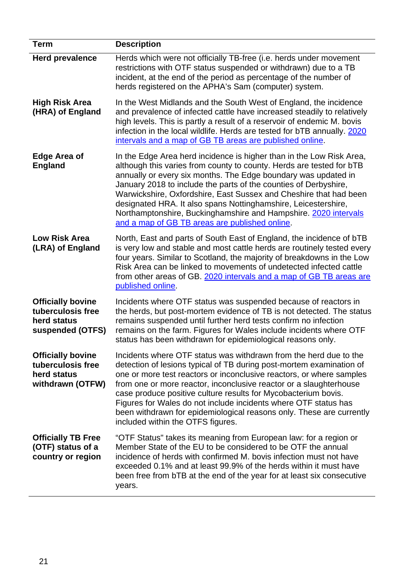<span id="page-20-0"></span>

| <b>Term</b>                                                                      | <b>Description</b>                                                                                                                                                                                                                                                                                                                                                                                                                                                                                                                             |
|----------------------------------------------------------------------------------|------------------------------------------------------------------------------------------------------------------------------------------------------------------------------------------------------------------------------------------------------------------------------------------------------------------------------------------------------------------------------------------------------------------------------------------------------------------------------------------------------------------------------------------------|
| <b>Herd prevalence</b>                                                           | Herds which were not officially TB-free (i.e. herds under movement<br>restrictions with OTF status suspended or withdrawn) due to a TB<br>incident, at the end of the period as percentage of the number of<br>herds registered on the APHA's Sam (computer) system.                                                                                                                                                                                                                                                                           |
| <b>High Risk Area</b><br>(HRA) of England                                        | In the West Midlands and the South West of England, the incidence<br>and prevalence of infected cattle have increased steadily to relatively<br>high levels. This is partly a result of a reservoir of endemic M. bovis<br>infection in the local wildlife. Herds are tested for bTB annually. 2020<br>intervals and a map of GB TB areas are published online.                                                                                                                                                                                |
| <b>Edge Area of</b><br><b>England</b>                                            | In the Edge Area herd incidence is higher than in the Low Risk Area,<br>although this varies from county to county. Herds are tested for bTB<br>annually or every six months. The Edge boundary was updated in<br>January 2018 to include the parts of the counties of Derbyshire,<br>Warwickshire, Oxfordshire, East Sussex and Cheshire that had been<br>designated HRA. It also spans Nottinghamshire, Leicestershire,<br>Northamptonshire, Buckinghamshire and Hampshire. 2020 intervals<br>and a map of GB TB areas are published online. |
| <b>Low Risk Area</b><br>(LRA) of England                                         | North, East and parts of South East of England, the incidence of bTB<br>is very low and stable and most cattle herds are routinely tested every<br>four years. Similar to Scotland, the majority of breakdowns in the Low<br>Risk Area can be linked to movements of undetected infected cattle<br>from other areas of GB. 2020 intervals and a map of GB TB areas are<br>published online.                                                                                                                                                    |
| <b>Officially bovine</b><br>tuberculosis free<br>herd status<br>suspended (OTFS) | Incidents where OTF status was suspended because of reactors in<br>the herds, but post-mortem evidence of TB is not detected. The status<br>remains suspended until further herd tests confirm no infection<br>remains on the farm. Figures for Wales include incidents where OTF<br>status has been withdrawn for epidemiological reasons only.                                                                                                                                                                                               |
| <b>Officially bovine</b><br>tuberculosis free<br>herd status<br>withdrawn (OTFW) | Incidents where OTF status was withdrawn from the herd due to the<br>detection of lesions typical of TB during post-mortem examination of<br>one or more test reactors or inconclusive reactors, or where samples<br>from one or more reactor, inconclusive reactor or a slaughterhouse<br>case produce positive culture results for Mycobacterium bovis.<br>Figures for Wales do not include incidents where OTF status has<br>been withdrawn for epidemiological reasons only. These are currently<br>included within the OTFS figures.      |
| <b>Officially TB Free</b><br>(OTF) status of a<br>country or region              | "OTF Status" takes its meaning from European law: for a region or<br>Member State of the EU to be considered to be OTF the annual<br>incidence of herds with confirmed M. bovis infection must not have<br>exceeded 0.1% and at least 99.9% of the herds within it must have<br>been free from bTB at the end of the year for at least six consecutive<br>years.                                                                                                                                                                               |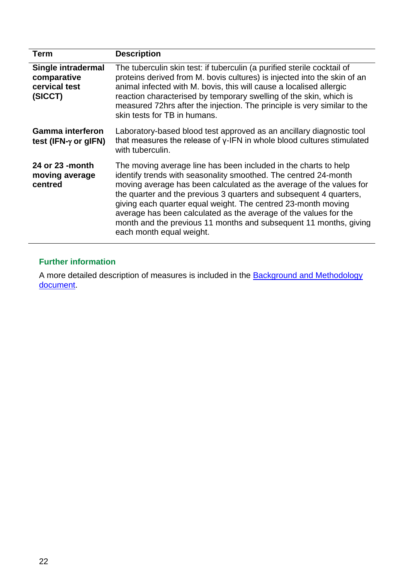<span id="page-21-1"></span>

| <b>Term</b>                                                   | <b>Description</b>                                                                                                                                                                                                                                                                                                                                                                                                                                                                                                    |
|---------------------------------------------------------------|-----------------------------------------------------------------------------------------------------------------------------------------------------------------------------------------------------------------------------------------------------------------------------------------------------------------------------------------------------------------------------------------------------------------------------------------------------------------------------------------------------------------------|
| Single intradermal<br>comparative<br>cervical test<br>(SICCT) | The tuberculin skin test: if tuberculin (a purified sterile cocktail of<br>proteins derived from M. bovis cultures) is injected into the skin of an<br>animal infected with M. bovis, this will cause a localised allergic<br>reaction characterised by temporary swelling of the skin, which is<br>measured 72hrs after the injection. The principle is very similar to the<br>skin tests for TB in humans.                                                                                                          |
| <b>Gamma interferon</b><br>test (IFN- $\gamma$ or gIFN)       | Laboratory-based blood test approved as an ancillary diagnostic tool<br>that measures the release of y-IFN in whole blood cultures stimulated<br>with tuberculin.                                                                                                                                                                                                                                                                                                                                                     |
| 24 or 23 -month<br>moving average<br>centred                  | The moving average line has been included in the charts to help<br>identify trends with seasonality smoothed. The centred 24-month<br>moving average has been calculated as the average of the values for<br>the quarter and the previous 3 quarters and subsequent 4 quarters,<br>giving each quarter equal weight. The centred 23-month moving<br>average has been calculated as the average of the values for the<br>month and the previous 11 months and subsequent 11 months, giving<br>each month equal weight. |

### <span id="page-21-0"></span>**Further information**

A more detailed description of measures is included in the **Background and Methodology** [document.](http://www.gov.uk/government/statistics/data-and-methodology)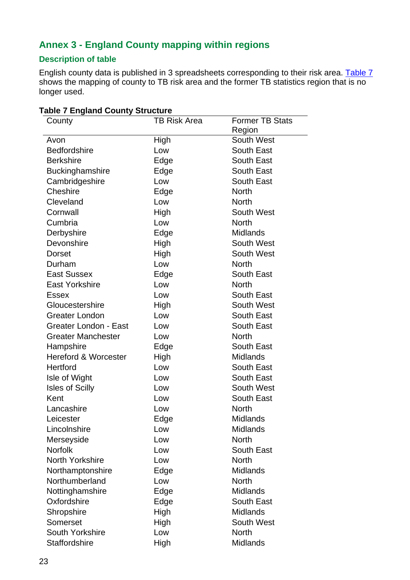## <span id="page-22-0"></span>**Annex 3 - England County mapping within regions**

### **Description of table**

English county data is published in 3 spreadsheets corresponding to their risk area. [Table](#page-22-1) 7 shows the mapping of county to TB risk area and the former TB statistics region that is no longer used.

| County                          | <b>TB Risk Area</b> | <b>Former TB Stats</b> |
|---------------------------------|---------------------|------------------------|
|                                 |                     | Region                 |
| Avon                            | High                | <b>South West</b>      |
| <b>Bedfordshire</b>             | Low                 | South East             |
| <b>Berkshire</b>                | Edge                | <b>South East</b>      |
| Buckinghamshire                 | Edge                | South East             |
| Cambridgeshire                  | Low                 | <b>South East</b>      |
| Cheshire                        | Edge                | <b>North</b>           |
| Cleveland                       | Low                 | <b>North</b>           |
| Cornwall                        | High                | South West             |
| Cumbria                         | Low                 | <b>North</b>           |
| Derbyshire                      | Edge                | <b>Midlands</b>        |
| Devonshire                      | High                | <b>South West</b>      |
| <b>Dorset</b>                   | High                | South West             |
| Durham                          | Low                 | <b>North</b>           |
| <b>East Sussex</b>              | Edge                | South East             |
| <b>East Yorkshire</b>           | Low                 | <b>North</b>           |
| Essex                           | Low                 | <b>South East</b>      |
| Gloucestershire                 | High                | South West             |
| <b>Greater London</b>           | Low                 | South East             |
| <b>Greater London - East</b>    | Low                 | South East             |
| <b>Greater Manchester</b>       | Low                 | <b>North</b>           |
| Hampshire                       | Edge                | <b>South East</b>      |
| <b>Hereford &amp; Worcester</b> | High                | <b>Midlands</b>        |
| <b>Hertford</b>                 | Low                 | <b>South East</b>      |
| Isle of Wight                   | Low                 | South East             |
| <b>Isles of Scilly</b>          | Low                 | South West             |
| Kent                            | Low                 | South East             |
| Lancashire                      | Low                 | <b>North</b>           |
| Leicester                       | Edge                | Midlands               |
| Lincolnshire                    | Low                 | <b>Midlands</b>        |
| Merseyside                      | Low                 | <b>North</b>           |
| <b>Norfolk</b>                  | Low                 | <b>South East</b>      |
| North Yorkshire                 | Low                 | <b>North</b>           |
| Northamptonshire                | Edge                | Midlands               |
| Northumberland                  | Low                 | <b>North</b>           |
| Nottinghamshire                 | Edge                | <b>Midlands</b>        |
| Oxfordshire                     | Edge                | South East             |
| Shropshire                      | High                | <b>Midlands</b>        |
| Somerset                        | High                | <b>South West</b>      |
| <b>South Yorkshire</b>          | Low                 | <b>North</b>           |
| Staffordshire                   | High                | Midlands               |

#### <span id="page-22-1"></span>**Table 7 England County Structure**